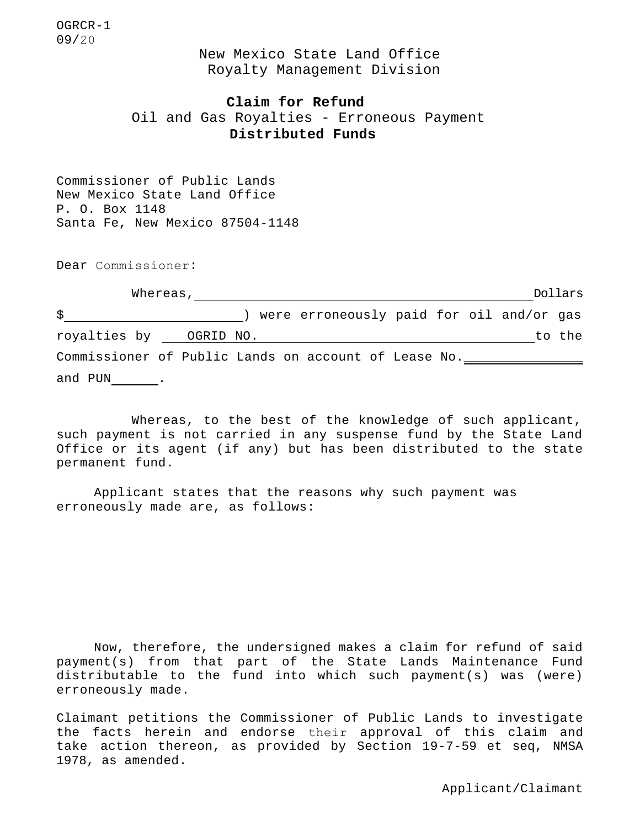OGRCR-1 09/20

> New Mexico State Land Office Royalty Management Division

# **Claim for Refund**

Oil and Gas Royalties - Erroneous Payment **Distributed Funds**

Commissioner of Public Lands New Mexico State Land Office P. O. Box 1148 Santa Fe, New Mexico 87504-1148

Dear Commissioner:

| Whereas,                                             |  |  |  |  |                                          |  |  |  |  |  | Dollars |  |
|------------------------------------------------------|--|--|--|--|------------------------------------------|--|--|--|--|--|---------|--|
| \$                                                   |  |  |  |  | were erroneously paid for oil and/or gas |  |  |  |  |  |         |  |
| royalties by OGRID NO.                               |  |  |  |  |                                          |  |  |  |  |  | to the  |  |
| Commissioner of Public Lands on account of Lease No. |  |  |  |  |                                          |  |  |  |  |  |         |  |
| and PUN                                              |  |  |  |  |                                          |  |  |  |  |  |         |  |

Whereas, to the best of the knowledge of such applicant, such payment is not carried in any suspense fund by the State Land Office or its agent (if any) but has been distributed to the state permanent fund.

Applicant states that the reasons why such payment was erroneously made are, as follows:

Now, therefore, the undersigned makes a claim for refund of said payment(s) from that part of the State Lands Maintenance Fund distributable to the fund into which such payment(s) was (were) erroneously made.

Claimant petitions the Commissioner of Public Lands to investigate the facts herein and endorse their approval of this claim and take action thereon, as provided by Section 19-7-59 et seq, NMSA 1978, as amended.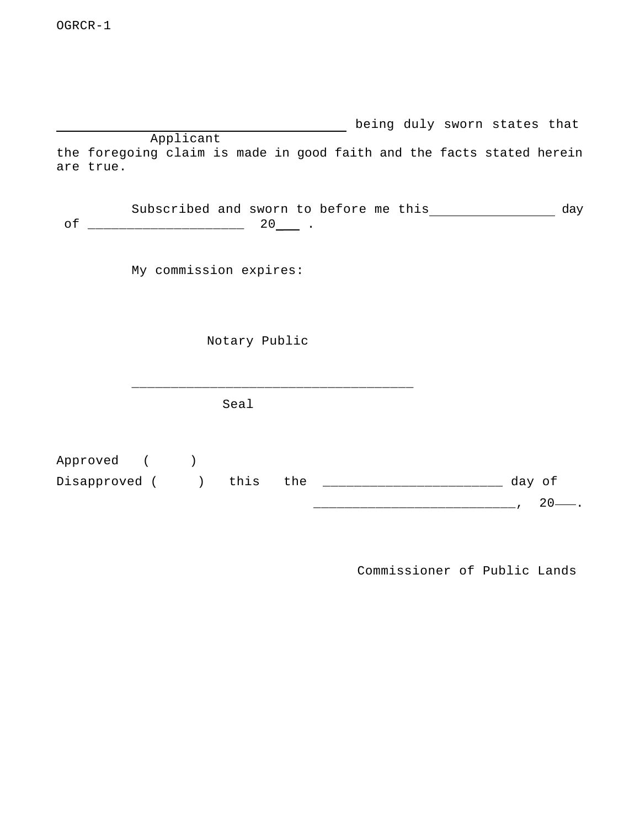**being duly sworn states that** Applicant the foregoing claim is made in good faith and the facts stated herein are true.

Subscribed and sworn to before me this \_\_\_\_\_\_\_\_\_\_\_\_\_\_\_\_\_ day of \_\_\_\_\_\_\_\_\_\_\_\_\_\_\_\_\_\_\_\_ 20\_ .

My commission expires:

Notary Public

\_\_\_\_\_\_\_\_\_\_\_\_\_\_\_\_\_\_\_\_\_\_\_\_\_\_\_\_\_\_\_\_\_\_\_\_

Seal

Approved ( ) Disapproved ( ) this the \_\_\_\_\_\_\_\_\_\_\_\_\_\_\_\_\_\_\_\_\_\_\_\_\_\_ day of \_\_\_\_\_\_\_\_\_\_\_\_\_\_\_\_\_\_\_\_\_\_\_\_\_\_, 20 .

Commissioner of Public Lands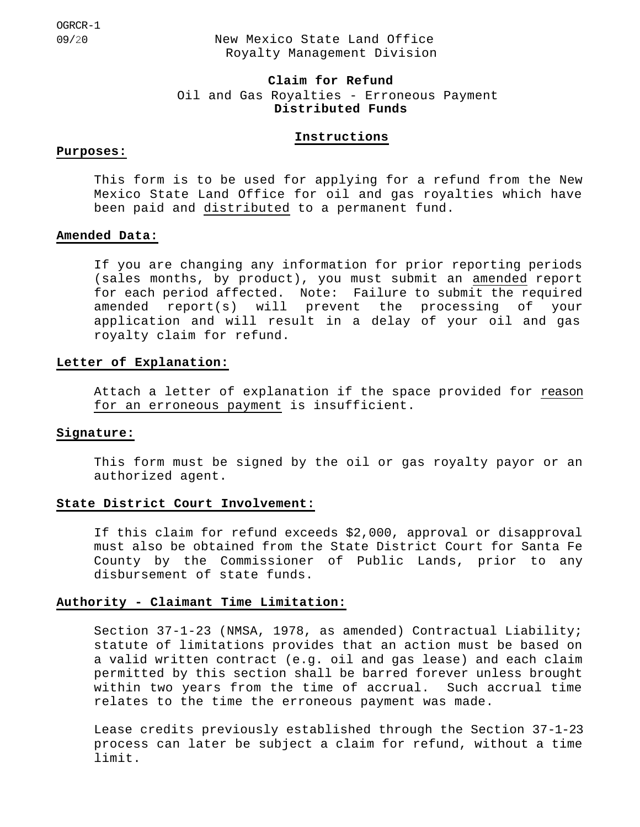OGRCR-1

09/20 New Mexico State Land Office Royalty Management Division

# **Claim for Refund** Oil and Gas Royalties - Erroneous Payment **Distributed Funds**

# **Instructions**

### **Purposes:**

This form is to be used for applying for a refund from the New Mexico State Land Office for oil and gas royalties which have been paid and distributed to a permanent fund.

### **Amended Data:**

If you are changing any information for prior reporting periods (sales months, by product), you must submit an amended report for each period affected. Note: Failure to submit the required amended report(s) will prevent the processing of your application and will result in a delay of your oil and gas royalty claim for refund.

# **Letter of Explanation:**

Attach a letter of explanation if the space provided for reason for an erroneous payment is insufficient.

### **Signature:**

This form must be signed by the oil or gas royalty payor or an authorized agent.

#### **State District Court Involvement:**

If this claim for refund exceeds \$2,000, approval or disapproval must also be obtained from the State District Court for Santa Fe County by the Commissioner of Public Lands, prior to any disbursement of state funds.

# **Authority - Claimant Time Limitation:**

Section 37-1-23 (NMSA, 1978, as amended) Contractual Liability; statute of limitations provides that an action must be based on a valid written contract (e.g. oil and gas lease) and each claim permitted by this section shall be barred forever unless brought within two years from the time of accrual. Such accrual time relates to the time the erroneous payment was made.

Lease credits previously established through the Section 37-1-23 process can later be subject a claim for refund, without a time limit.